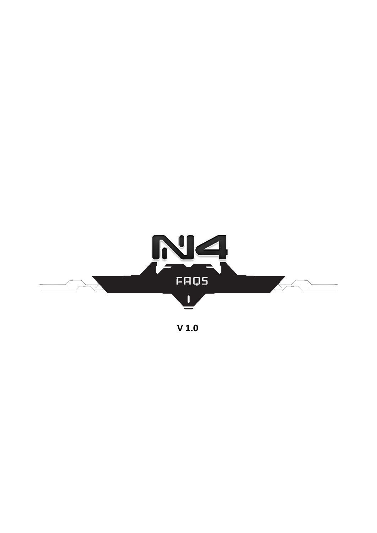

 $V 1.0$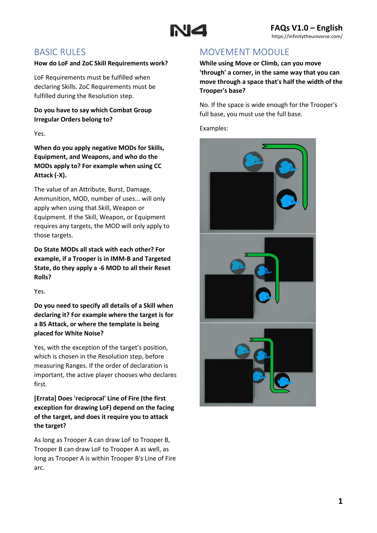

## **BASIC RULES**

#### **How do LoF and ZoC Skill Requirements work?**

LoF Requirements must be fulfilled when declaring Skills. ZoC Requirements must be fulfilled during the Resolution step.

#### **Do you have to say which Combat Group Irregular Orders belong to?**

Yes.

**When do you apply negative MODs for Skills, Equipment, and Weapons, and who do the MODs apply to? For example when using CC Attack (-X).**

The value of an Attribute, Burst, Damage, Ammunition, MOD, number of uses... will only apply when using that Skill, Weapon or Equipment. If the Skill, Weapon, or Equipment requires any targets, the MOD will only apply to those targets.

**Do State MODs all stack with each other? For example, if a Trooper is in IMM-B and Targeted State, do they apply a -6 MOD to all their Reset Rolls?**

Yes.

**Do you need to specify all details of a Skill when declaring it? For example where the target is for a BS Attack, or where the template is being placed for White Noise?**

Yes, with the exception of the target's position, which is chosen in the Resolution step, before measuring Ranges. If the order of declaration is important, the active player chooses who declares first.

**[Errata] Does 'reciprocal' Line of Fire (the first exception for drawing LoF) depend on the facing of the target, and does it require you to attack the target?**

As long as Trooper A can draw LoF to Trooper B, Trooper B can draw LoF to Trooper A as well, as long as Trooper A is within Trooper B's Line of Fire arc.

# MOVEMENT MODULE

**While using Move or Climb, can you move 'through' a corner, in the same way that you can move through a space that's half the width of the Trooper's base?**

No. If the space is wide enough for the Trooper's full base, you must use the full base.

Examples:

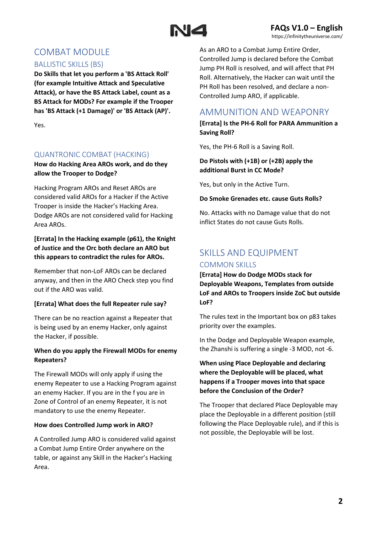# NZ

# COMBAT MODULE

#### BALLISTIC SKILLS (BS)

**Do Skills that let you perform a 'BS Attack Roll' (for example Intuitive Attack and Speculative Attack), or have the BS Attack Label, count as a BS Attack for MODs? For example if the Trooper has 'BS Attack (+1 Damage)' or 'BS Attack (AP)'.**

Yes.

### QUANTRONIC COMBAT (HACKING)

**How do Hacking Area AROs work, and do they allow the Trooper to Dodge?**

Hacking Program AROs and Reset AROs are considered valid AROs for a Hacker if the Active Trooper is inside the Hacker's Hacking Area. Dodge AROs are not considered valid for Hacking Area AROs.

**[Errata] In the Hacking example (p61), the Knight of Justice and the Orc both declare an ARO but this appears to contradict the rules for AROs.**

Remember that non-LoF AROs can be declared anyway, and then in the ARO Check step you find out if the ARO was valid.

#### **[Errata] What does the full Repeater rule say?**

There can be no reaction against a Repeater that is being used by an enemy Hacker, only against the Hacker, if possible.

#### **When do you apply the Firewall MODs for enemy Repeaters?**

The Firewall MODs will only apply if using the enemy Repeater to use a Hacking Program against an enemy Hacker. If you are in the f you are in Zone of Control of an enemy Repeater, it is not mandatory to use the enemy Repeater.

#### **How does Controlled Jump work in ARO?**

A Controlled Jump ARO is considered valid against a Combat Jump Entire Order anywhere on the table, or against any Skill in the Hacker's Hacking Area.

As an ARO to a Combat Jump Entire Order, Controlled Jump is declared before the Combat Jump PH Roll is resolved, and will affect that PH Roll. Alternatively, the Hacker can wait until the PH Roll has been resolved, and declare a non-Controlled Jump ARO, if applicable.

## AMMUNITION AND WEAPONRY

**[Errata] Is the PH-6 Roll for PARA Ammunition a Saving Roll?**

Yes, the PH-6 Roll is a Saving Roll.

#### **Do Pistols with (+1B) or (+2B) apply the additional Burst in CC Mode?**

Yes, but only in the Active Turn.

#### **Do Smoke Grenades etc. cause Guts Rolls?**

No. Attacks with no Damage value that do not inflict States do not cause Guts Rolls.

## SKILLS AND EQUIPMENT COMMON SKILLS

**[Errata] How do Dodge MODs stack for Deployable Weapons, Templates from outside LoF and AROs to Troopers inside ZoC but outside LoF?**

The rules text in the Important box on p83 takes priority over the examples.

In the Dodge and Deployable Weapon example, the Zhanshi is suffering a single -3 MOD, not -6.

**When using Place Deployable and declaring where the Deployable will be placed, what happens if a Trooper moves into that space before the Conclusion of the Order?**

The Trooper that declared Place Deployable may place the Deployable in a different position (still following the Place Deployable rule), and if this is not possible, the Deployable will be lost.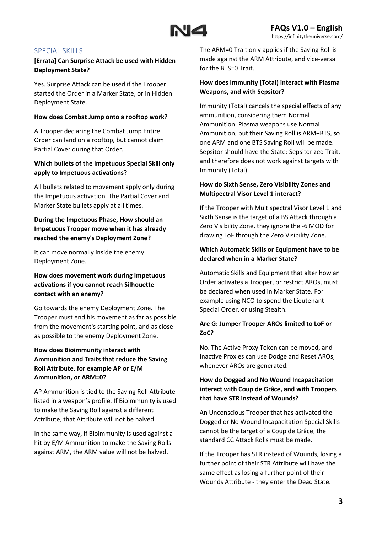#### SPECIAL SKILLS

#### **[Errata] Can Surprise Attack be used with Hidden Deployment State?**

Yes. Surprise Attack can be used if the Trooper started the Order in a Marker State, or in Hidden Deployment State.

#### **How does Combat Jump onto a rooftop work?**

A Trooper declaring the Combat Jump Entire Order can land on a rooftop, but cannot claim Partial Cover during that Order.

#### **Which bullets of the Impetuous Special Skill only apply to Impetuous activations?**

All bullets related to movement apply only during the Impetuous activation. The Partial Cover and Marker State bullets apply at all times.

#### **During the Impetuous Phase, How should an Impetuous Trooper move when it has already reached the enemy's Deployment Zone?**

It can move normally inside the enemy Deployment Zone.

#### **How does movement work during Impetuous activations if you cannot reach Silhouette contact with an enemy?**

Go towards the enemy Deployment Zone. The Trooper must end his movement as far as possible from the movement's starting point, and as close as possible to the enemy Deployment Zone.

#### **How does Bioimmunity interact with Ammunition and Traits that reduce the Saving Roll Attribute, for example AP or E/M Ammunition, or ARM=0?**

AP Ammunition is tied to the Saving Roll Attribute listed in a weapon's profile. If Bioimmunity is used to make the Saving Roll against a different Attribute, that Attribute will not be halved.

In the same way, if Bioimmunity is used against a hit by E/M Ammunition to make the Saving Rolls against ARM, the ARM value will not be halved.

The ARM=0 Trait only applies if the Saving Roll is made against the ARM Attribute, and vice-versa for the BTS=0 Trait.

#### **How does Immunity (Total) interact with Plasma Weapons, and with Sepsitor?**

Immunity (Total) cancels the special effects of any ammunition, considering them Normal Ammunition. Plasma weapons use Normal Ammunition, but their Saving Roll is ARM+BTS, so one ARM and one BTS Saving Roll will be made. Sepsitor should have the State: Sepsitorized Trait, and therefore does not work against targets with Immunity (Total).

#### **How do Sixth Sense, Zero Visibility Zones and Multipectral Visor Level 1 interact?**

If the Trooper with Multispectral Visor Level 1 and Sixth Sense is the target of a BS Attack through a Zero Visibility Zone, they ignore the -6 MOD for drawing LoF through the Zero Visibility Zone.

#### **Which Automatic Skills or Equipment have to be declared when in a Marker State?**

Automatic Skills and Equipment that alter how an Order activates a Trooper, or restrict AROs, must be declared when used in Marker State. For example using NCO to spend the Lieutenant Special Order, or using Stealth.

#### **Are G: Jumper Trooper AROs limited to LoF or ZoC?**

No. The Active Proxy Token can be moved, and Inactive Proxies can use Dodge and Reset AROs, whenever AROs are generated.

#### **How do Dogged and No Wound Incapacitation interact with Coup de Grâce, and with Troopers that have STR instead of Wounds?**

An Unconscious Trooper that has activated the Dogged or No Wound Incapacitation Special Skills cannot be the target of a Coup de Grâce, the standard CC Attack Rolls must be made.

If the Trooper has STR instead of Wounds, losing a further point of their STR Attribute will have the same effect as losing a further point of their Wounds Attribute - they enter the Dead State.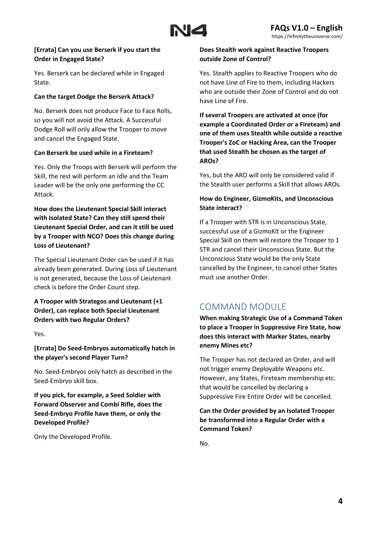#### **[Errata] Can you use Berserk if you start the Order in Engaged State?**

Yes. Berserk can be declared while in Engaged State.

#### **Can the target Dodge the Berserk Attack?**

No. Berserk does not produce Face to Face Rolls, so you will not avoid the Attack. A Successful Dodge Roll will only allow the Trooper to move and cancel the Engaged State.

#### **Can Berserk be used while in a Fireteam?**

Yes. Only the Troops with Berserk will perform the Skill, the rest will perform an Idle and the Team Leader will be the only one performing the CC Attack.

**How does the Lieutenant Special Skill interact with Isolated State? Can they still spend their Lieutenant Special Order, and can it still be used by a Trooper with NCO? Does this change during Loss of Lieutenant?**

The Special Lieutenant Order can be used if it has already been generated. During Loss of Lieutenant is not generated, because the Loss of Lieutenant check is before the Order Count step.

**A Trooper with Strategos and Lieutenant (+1 Order), can replace both Special Lieutenant Orders with two Regular Orders?**

Yes.

**[Errata] Do Seed-Embryos automatically hatch in the player's second Player Turn?**

No. Seed-Embryos only hatch as described in the Seed-Embryo skill box.

**If you pick, for example, a Seed Soldier with Forward Observer and Combi Rifle, does the Seed-Embryo Profile have them, or only the Developed Profile?**

Only the Developed Profile.

#### **Does Stealth work against Reactive Troopers outside Zone of Control?**

Yes. Stealth applies to Reactive Troopers who do not have Line of Fire to them, including Hackers who are outside their Zone of Control and do not have Line of Fire.

**If several Troopers are activated at once (for example a Coordinated Order or a Fireteam) and one of them uses Stealth while outside a reactive Trooper's ZoC or Hacking Area, can the Trooper that used Stealth be chosen as the target of AROs?**

Yes, but the ARO will only be considered valid if the Stealth user performs a Skill that allows AROs.

#### **How do Engineer, GizmoKits, and Unconscious State interact?**

If a Trooper with STR is in Unconscious State, successful use of a GizmoKit or the Engineer Special Skill on them will restore the Trooper to 1 STR and cancel their Unconscious State. But the Unconscious State would be the only State cancelled by the Engineer, to cancel other States must use another Order.

## COMMAND MODULE

**When making Strategic Use of a Command Token to place a Trooper in Suppressive Fire State, how does this interact with Marker States, nearby enemy Mines etc?**

The Trooper has not declared an Order, and will not trigger enemy Deployable Weapons etc. However, any States, Fireteam membership etc. that would be cancelled by declaring a Suppressive Fire Entire Order will be cancelled.

#### **Can the Order provided by an Isolated Trooper be transformed into a Regular Order with a Command Token?**

No.